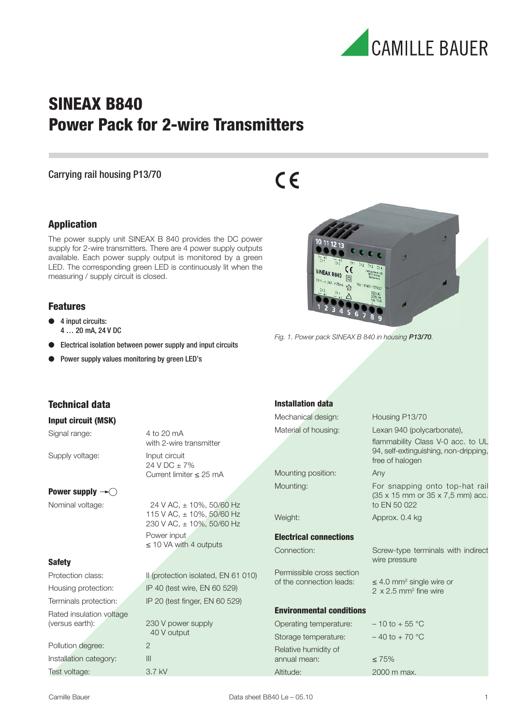

## **SINEAX B840 Power Pack for 2-wire Transmitters**

#### Carrying rail housing P13/70

# $C \in$

#### **Application**

The power supply unit SINEAX B 840 provides the DC power supply for 2-wire transmitters. There are 4 power supply outputs available. Each power supply output is monitored by a green LED. The corresponding green LED is continuously lit when the measuring / supply circuit is closed.

#### **Features**

- 4 input circuits: 4 … 20 mA, 24 V DC
- Electrical isolation between power supply and input circuits
- Power supply values monitoring by green LED's



Fig. 1. Power pack SINEAX B 840 in housing P13/70.

| Technical data                                          |                                                        | <b>Installation data</b>        |                                                                                       |
|---------------------------------------------------------|--------------------------------------------------------|---------------------------------|---------------------------------------------------------------------------------------|
| <b>Input circuit (MSK)</b>                              |                                                        | Mechanical design:              | Housing P13/70                                                                        |
| Signal range:                                           | 4 to 20 mA<br>with 2-wire transmitter                  | Material of housing:            | Lexan 940 (polycarbonate),<br>flammability Class V-0 acc. to UL                       |
| Supply voltage:                                         | Input circuit<br>$24 VDC + 7%$                         |                                 | 94, self-extinguishing, non-dripping,<br>free of halogen                              |
|                                                         | Current limiter $\leq$ 25 mA                           | Mounting position:              | Any                                                                                   |
| Power supply $\rightarrow \bigcirc$<br>Nominal voltage: | 24 V AC, ± 10%, 50/60 Hz                               | Mounting:                       | For snapping onto top-hat rail<br>(35 x 15 mm or 35 x 7,5 mm) acc.<br>to EN 50 022    |
|                                                         | 115 V AC, ± 10%, 50/60 Hz<br>230 V AC, ± 10%, 50/60 Hz | Weight:                         | Approx. 0.4 kg                                                                        |
|                                                         | Power input                                            | <b>Electrical connections</b>   |                                                                                       |
| <b>Safety</b>                                           | $\leq$ 10 VA with 4 outputs                            | Connection:                     | Screw-type terminals with indirect<br>wire pressure                                   |
| Protection class:                                       | Il (protection isolated, EN 61 010)                    | Permissible cross section       |                                                                                       |
| Housing protection:                                     | IP 40 (test wire, EN 60 529)                           | of the connection leads:        | $\leq$ 4.0 mm <sup>2</sup> single wire or<br>$2 \times 2.5$ mm <sup>2</sup> fine wire |
| Terminals protection:                                   | IP 20 (test finger, EN 60 529)                         |                                 |                                                                                       |
| Rated insulation voltage                                |                                                        | <b>Environmental conditions</b> |                                                                                       |
| (versus earth):                                         | 230 V power supply                                     | Operating temperature:          | $-10$ to $+55$ °C                                                                     |
|                                                         | 40 V output                                            | Storage temperature:            | $-40$ to $+70$ °C                                                                     |
| Pollution degree:                                       | $\overline{2}$                                         | Relative humidity of            |                                                                                       |
| Installation category:                                  | III                                                    | annual mean:                    | $\leq 75\%$                                                                           |
| Test voltage:                                           | 3.7 kV                                                 | Altitude:                       | 2000 m max.                                                                           |